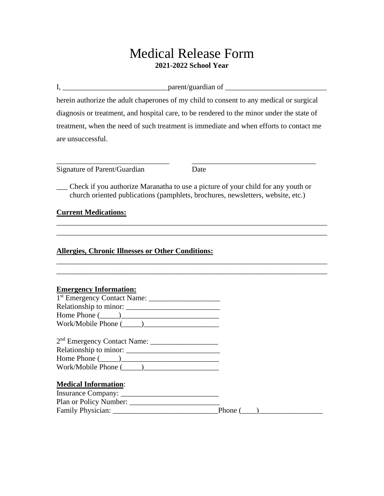# Medical Release Form **2021-2022 School Year**

 $I, \_\_\_\_\_$  parent/guardian of  $\_\_\_\_\_\_\_$ 

herein authorize the adult chaperones of my child to consent to any medical or surgical diagnosis or treatment, and hospital care, to be rendered to the minor under the state of treatment, when the need of such treatment is immediate and when efforts to contact me are unsuccessful.

| Signature of Parent/Guardian | Date |
|------------------------------|------|
|                              |      |

\_\_\_ Check if you authorize Maranatha to use a picture of your child for any youth or church oriented publications (pamphlets, brochures, newsletters, website, etc.)

\_\_\_\_\_\_\_\_\_\_\_\_\_\_\_\_\_\_\_\_\_\_\_\_\_\_\_\_\_\_\_\_\_\_\_\_\_\_\_\_\_\_\_\_\_\_\_\_\_\_\_\_\_\_\_\_\_\_\_\_\_\_\_\_\_\_\_\_\_\_\_\_ \_\_\_\_\_\_\_\_\_\_\_\_\_\_\_\_\_\_\_\_\_\_\_\_\_\_\_\_\_\_\_\_\_\_\_\_\_\_\_\_\_\_\_\_\_\_\_\_\_\_\_\_\_\_\_\_\_\_\_\_\_\_\_\_\_\_\_\_\_\_\_\_

\_\_\_\_\_\_\_\_\_\_\_\_\_\_\_\_\_\_\_\_\_\_\_\_\_\_\_\_\_\_\_\_\_\_\_\_\_\_\_\_\_\_\_\_\_\_\_\_\_\_\_\_\_\_\_\_\_\_\_\_\_\_\_\_\_\_\_\_\_\_\_\_

\_\_\_\_\_\_\_\_\_\_\_\_\_\_\_\_\_\_\_\_\_\_\_\_\_\_\_\_\_\_ \_\_\_\_\_\_\_\_\_\_\_\_\_\_\_\_\_\_\_\_\_\_\_\_\_\_\_\_\_\_\_\_\_

### **Current Medications:**

#### **Allergies, Chronic Illnesses or Other Conditions:**

| <b>Emergency Information:</b>                              |                |
|------------------------------------------------------------|----------------|
|                                                            |                |
|                                                            |                |
| Home Phone $(\_\_)$                                        |                |
|                                                            |                |
|                                                            |                |
| 2 <sup>nd</sup> Emergency Contact Name: __________________ |                |
|                                                            |                |
| Home Phone $(\_\_)$                                        |                |
|                                                            |                |
|                                                            |                |
| <b>Medical Information:</b>                                |                |
|                                                            |                |
|                                                            |                |
| Family Physician:                                          | Phone $(\_\_)$ |